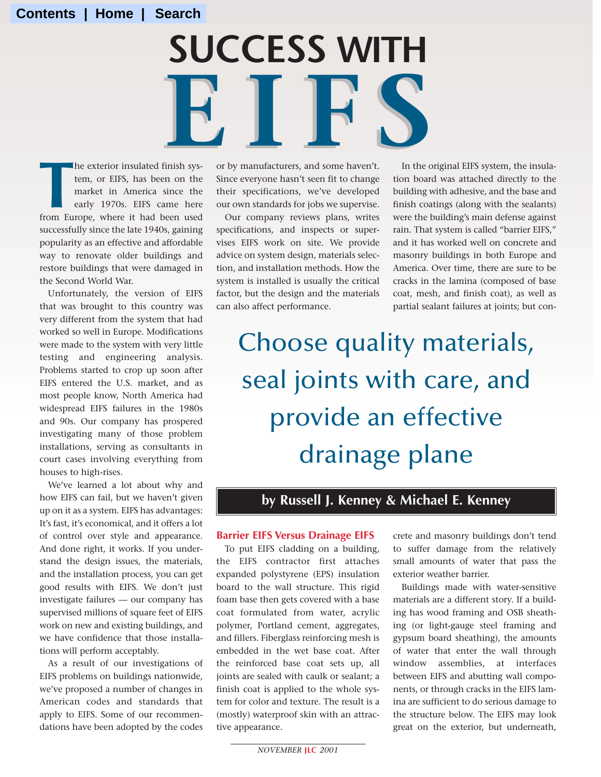# Finish sys- or by manufacturers, and some haven't. **SUCCESS WITH**  IFS IS A Spinish sys-or by manufacturers, and some haven't.

**THE SERVIE SERVIE SERVIE EN ANGLE SINCE THE SERVIE ENDINGERENT OF THE SERVIE SERVIE SERVIE SERVIE EN ANGLE SINCE SERVIE SERVIE SERVIE SERVIE SERVIE SERVIE SERVIE SERVIE SERVIE SERVIE SERVIE SERVIE SERVIE SERVIE SERVIE SER** he exterior insulated finish system, or EIFS, has been on the market in America since the early 1970s. EIFS came here successfully since the late 1940s, gaining popularity as an effective and affordable way to renovate older buildings and restore buildings that were damaged in the Second World War.

Unfortunately, the version of EIFS that was brought to this country was very different from the system that had worked so well in Europe. Modifications were made to the system with very little testing and engineering analysis. Problems started to crop up soon after EIFS entered the U.S. market, and as most people know, North America had widespread EIFS failures in the 1980s and 90s. Our company has prospered investigating many of those problem installations, serving as consultants in court cases involving everything from houses to high-rises.

We've learned a lot about why and how EIFS can fail, but we haven't given up on it as a system. EIFS has advantages: It's fast, it's economical, and it offers a lot of control over style and appearance. And done right, it works. If you understand the design issues, the materials, and the installation process, you can get good results with EIFS. We don't just investigate failures — our company has supervised millions of square feet of EIFS work on new and existing buildings, and we have confidence that those installations will perform acceptably.

As a result of our investigations of EIFS problems on buildings nationwide, we've proposed a number of changes in American codes and standards that apply to EIFS. Some of our recommendations have been adopted by the codes or by manufacturers, and some haven't. Since everyone hasn't seen fit to change their specifications, we've developed our own standards for jobs we supervise.

Our company reviews plans, writes specifications, and inspects or supervises EIFS work on site. We provide advice on system design, materials selection, and installation methods. How the system is installed is usually the critical factor, but the design and the materials can also affect performance.

In the original EIFS system, the insulation board was attached directly to the building with adhesive, and the base and finish coatings (along with the sealants) were the building's main defense against rain. That system is called "barrier EIFS," and it has worked well on concrete and masonry buildings in both Europe and America. Over time, there are sure to be cracks in the lamina (composed of base coat, mesh, and finish coat), as well as partial sealant failures at joints; but con-

Choose quality materials, seal joints with care, and provide an effective drainage plane

# **by Russell J. Kenney & Michael E. Kenney**

#### **Barrier EIFS Versus Drainage EIFS**

To put EIFS cladding on a building, the EIFS contractor first attaches expanded polystyrene (EPS) insulation board to the wall structure. This rigid foam base then gets covered with a base coat formulated from water, acrylic polymer, Portland cement, aggregates, and fillers. Fiberglass reinforcing mesh is embedded in the wet base coat. After the reinforced base coat sets up, all joints are sealed with caulk or sealant; a finish coat is applied to the whole system for color and texture. The result is a (mostly) waterproof skin with an attractive appearance.

crete and masonry buildings don't tend to suffer damage from the relatively small amounts of water that pass the exterior weather barrier.

Buildings made with water-sensitive materials are a different story. If a building has wood framing and OSB sheathing (or light-gauge steel framing and gypsum board sheathing), the amounts of water that enter the wall through window assemblies, at interfaces between EIFS and abutting wall components, or through cracks in the EIFS lamina are sufficient to do serious damage to the structure below. The EIFS may look great on the exterior, but underneath,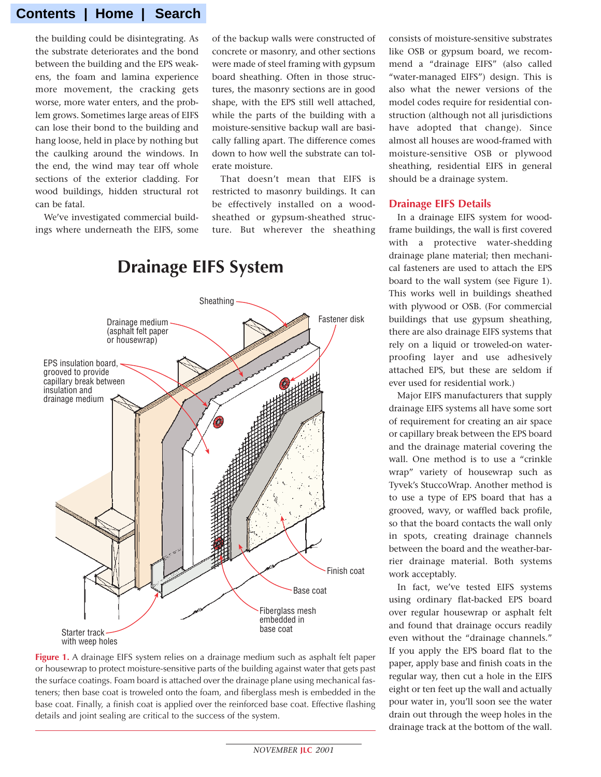the building could be disintegrating. As the substrate deteriorates and the bond between the building and the EPS weakens, the foam and lamina experience more movement, the cracking gets worse, more water enters, and the problem grows. Sometimes large areas of EIFS can lose their bond to the building and hang loose, held in place by nothing but the caulking around the windows. In the end, the wind may tear off whole sections of the exterior cladding. For wood buildings, hidden structural rot can be fatal.

We've investigated commercial buildings where underneath the EIFS, some of the backup walls were constructed of concrete or masonry, and other sections were made of steel framing with gypsum board sheathing. Often in those structures, the masonry sections are in good shape, with the EPS still well attached, while the parts of the building with a moisture-sensitive backup wall are basically falling apart. The difference comes down to how well the substrate can tolerate moisture.

That doesn't mean that EIFS is restricted to masonry buildings. It can be effectively installed on a woodsheathed or gypsum-sheathed structure. But wherever the sheathing



# **Drainage EIFS System**

**Figure 1.** A drainage EIFS system relies on a drainage medium such as asphalt felt paper or housewrap to protect moisture-sensitive parts of the building against water that gets past the surface coatings. Foam board is attached over the drainage plane using mechanical fasteners; then base coat is troweled onto the foam, and fiberglass mesh is embedded in the base coat. Finally, a finish coat is applied over the reinforced base coat. Effective flashing details and joint sealing are critical to the success of the system.

consists of moisture-sensitive substrates like OSB or gypsum board, we recommend a "drainage EIFS" (also called "water-managed EIFS") design. This is also what the newer versions of the model codes require for residential construction (although not all jurisdictions have adopted that change). Since almost all houses are wood-framed with moisture-sensitive OSB or plywood sheathing, residential EIFS in general should be a drainage system.

#### **Drainage EIFS Details**

In a drainage EIFS system for woodframe buildings, the wall is first covered with a protective water-shedding drainage plane material; then mechanical fasteners are used to attach the EPS board to the wall system (see Figure 1). This works well in buildings sheathed with plywood or OSB. (For commercial buildings that use gypsum sheathing, there are also drainage EIFS systems that rely on a liquid or troweled-on waterproofing layer and use adhesively attached EPS, but these are seldom if ever used for residential work.)

Major EIFS manufacturers that supply drainage EIFS systems all have some sort of requirement for creating an air space or capillary break between the EPS board and the drainage material covering the wall. One method is to use a "crinkle wrap" variety of housewrap such as Tyvek's StuccoWrap. Another method is to use a type of EPS board that has a grooved, wavy, or waffled back profile, so that the board contacts the wall only in spots, creating drainage channels between the board and the weather-barrier drainage material. Both systems work acceptably.

In fact, we've tested EIFS systems using ordinary flat-backed EPS board over regular housewrap or asphalt felt and found that drainage occurs readily even without the "drainage channels." If you apply the EPS board flat to the paper, apply base and finish coats in the regular way, then cut a hole in the EIFS eight or ten feet up the wall and actually pour water in, you'll soon see the water drain out through the weep holes in the drainage track at the bottom of the wall.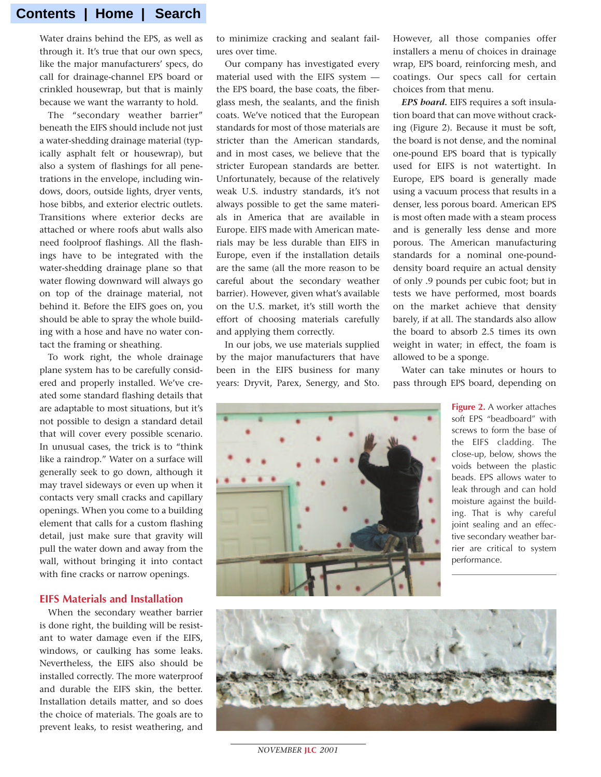Water drains behind the EPS, as well as through it. It's true that our own specs, like the major manufacturers' specs, do call for drainage-channel EPS board or crinkled housewrap, but that is mainly because we want the warranty to hold.

The "secondary weather barrier" beneath the EIFS should include not just a water-shedding drainage material (typically asphalt felt or housewrap), but also a system of flashings for all penetrations in the envelope, including windows, doors, outside lights, dryer vents, hose bibbs, and exterior electric outlets. Transitions where exterior decks are attached or where roofs abut walls also need foolproof flashings. All the flashings have to be integrated with the water-shedding drainage plane so that water flowing downward will always go on top of the drainage material, not behind it. Before the EIFS goes on, you should be able to spray the whole building with a hose and have no water contact the framing or sheathing.

To work right, the whole drainage plane system has to be carefully considered and properly installed. We've created some standard flashing details that are adaptable to most situations, but it's not possible to design a standard detail that will cover every possible scenario. In unusual cases, the trick is to "think like a raindrop." Water on a surface will generally seek to go down, although it may travel sideways or even up when it contacts very small cracks and capillary openings. When you come to a building element that calls for a custom flashing detail, just make sure that gravity will pull the water down and away from the wall, without bringing it into contact with fine cracks or narrow openings.

#### **EIFS Materials and Installation**

When the secondary weather barrier is done right, the building will be resistant to water damage even if the EIFS, windows, or caulking has some leaks. Nevertheless, the EIFS also should be installed correctly. The more waterproof and durable the EIFS skin, the better. Installation details matter, and so does the choice of materials. The goals are to prevent leaks, to resist weathering, and

to minimize cracking and sealant failures over time.

Our company has investigated every material used with the EIFS system the EPS board, the base coats, the fiberglass mesh, the sealants, and the finish coats. We've noticed that the European standards for most of those materials are stricter than the American standards, and in most cases, we believe that the stricter European standards are better. Unfortunately, because of the relatively weak U.S. industry standards, it's not always possible to get the same materials in America that are available in Europe. EIFS made with American materials may be less durable than EIFS in Europe, even if the installation details are the same (all the more reason to be careful about the secondary weather barrier). However, given what's available on the U.S. market, it's still worth the effort of choosing materials carefully and applying them correctly.

In our jobs, we use materials supplied by the major manufacturers that have been in the EIFS business for many years: Dryvit, Parex, Senergy, and Sto. However, all those companies offer installers a menu of choices in drainage wrap, EPS board, reinforcing mesh, and coatings. Our specs call for certain choices from that menu.

*EPS board.* EIFS requires a soft insulation board that can move without cracking (Figure 2). Because it must be soft, the board is not dense, and the nominal one-pound EPS board that is typically used for EIFS is not watertight. In Europe, EPS board is generally made using a vacuum process that results in a denser, less porous board. American EPS is most often made with a steam process and is generally less dense and more porous. The American manufacturing standards for a nominal one-pounddensity board require an actual density of only .9 pounds per cubic foot; but in tests we have performed, most boards on the market achieve that density barely, if at all. The standards also allow the board to absorb 2.5 times its own weight in water; in effect, the foam is allowed to be a sponge.

Water can take minutes or hours to pass through EPS board, depending on





*NOVEMBER* **JLC** *2001*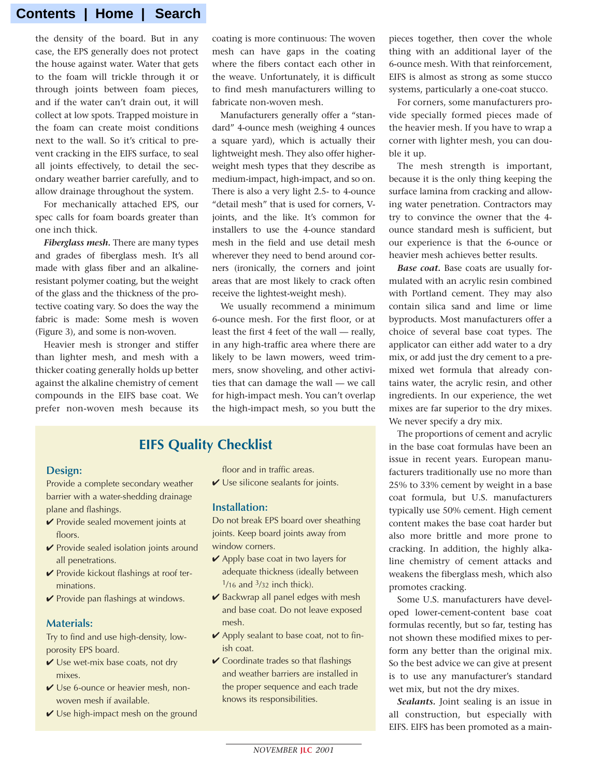the density of the board. But in any case, the EPS generally does not protect the house against water. Water that gets to the foam will trickle through it or through joints between foam pieces, and if the water can't drain out, it will collect at low spots. Trapped moisture in the foam can create moist conditions next to the wall. So it's critical to prevent cracking in the EIFS surface, to seal all joints effectively, to detail the secondary weather barrier carefully, and to allow drainage throughout the system.

For mechanically attached EPS, our spec calls for foam boards greater than one inch thick.

*Fiberglass mesh.* There are many types and grades of fiberglass mesh. It's all made with glass fiber and an alkalineresistant polymer coating, but the weight of the glass and the thickness of the protective coating vary. So does the way the fabric is made: Some mesh is woven (Figure 3), and some is non-woven.

Heavier mesh is stronger and stiffer than lighter mesh, and mesh with a thicker coating generally holds up better against the alkaline chemistry of cement compounds in the EIFS base coat. We prefer non-woven mesh because its coating is more continuous: The woven mesh can have gaps in the coating where the fibers contact each other in the weave. Unfortunately, it is difficult to find mesh manufacturers willing to fabricate non-woven mesh.

Manufacturers generally offer a "standard" 4-ounce mesh (weighing 4 ounces a square yard), which is actually their lightweight mesh. They also offer higherweight mesh types that they describe as medium-impact, high-impact, and so on. There is also a very light 2.5- to 4-ounce "detail mesh" that is used for corners, Vjoints, and the like. It's common for installers to use the 4-ounce standard mesh in the field and use detail mesh wherever they need to bend around corners (ironically, the corners and joint areas that are most likely to crack often receive the lightest-weight mesh).

We usually recommend a minimum 6-ounce mesh. For the first floor, or at least the first 4 feet of the wall — really, in any high-traffic area where there are likely to be lawn mowers, weed trimmers, snow shoveling, and other activities that can damage the wall — we call for high-impact mesh. You can't overlap the high-impact mesh, so you butt the

# **EIFS Quality Checklist**

#### **Design:**

Provide a complete secondary weather barrier with a water-shedding drainage plane and flashings.

- ✔ Provide sealed movement joints at floors.
- ✔ Provide sealed isolation joints around all penetrations.
- ✔ Provide kickout flashings at roof terminations.
- **✓ Provide pan flashings at windows.**

#### **Materials:**

Try to find and use high-density, lowporosity EPS board.

- ✔ Use wet-mix base coats, not dry mixes.
- ✔ Use 6-ounce or heavier mesh, nonwoven mesh if available.
- $\vee$  Use high-impact mesh on the ground

floor and in traffic areas.

 $\vee$  Use silicone sealants for joints.

#### **Installation:**

Do not break EPS board over sheathing joints. Keep board joints away from window corners.

- $\vee$  Apply base coat in two layers for adequate thickness (ideally between 1/16 and 3/32 inch thick).
- **✓** Backwrap all panel edges with mesh and base coat. Do not leave exposed mesh.
- ✔ Apply sealant to base coat, not to finish coat.
- $\vee$  Coordinate trades so that flashings and weather barriers are installed in the proper sequence and each trade knows its responsibilities.

pieces together, then cover the whole thing with an additional layer of the 6-ounce mesh. With that reinforcement, EIFS is almost as strong as some stucco systems, particularly a one-coat stucco.

For corners, some manufacturers provide specially formed pieces made of the heavier mesh. If you have to wrap a corner with lighter mesh, you can double it up.

The mesh strength is important, because it is the only thing keeping the surface lamina from cracking and allowing water penetration. Contractors may try to convince the owner that the 4 ounce standard mesh is sufficient, but our experience is that the 6-ounce or heavier mesh achieves better results.

*Base coat.* Base coats are usually formulated with an acrylic resin combined with Portland cement. They may also contain silica sand and lime or lime byproducts. Most manufacturers offer a choice of several base coat types. The applicator can either add water to a dry mix, or add just the dry cement to a premixed wet formula that already contains water, the acrylic resin, and other ingredients. In our experience, the wet mixes are far superior to the dry mixes. We never specify a dry mix.

The proportions of cement and acrylic in the base coat formulas have been an issue in recent years. European manufacturers traditionally use no more than 25% to 33% cement by weight in a base coat formula, but U.S. manufacturers typically use 50% cement. High cement content makes the base coat harder but also more brittle and more prone to cracking. In addition, the highly alkaline chemistry of cement attacks and weakens the fiberglass mesh, which also promotes cracking.

Some U.S. manufacturers have developed lower-cement-content base coat formulas recently, but so far, testing has not shown these modified mixes to perform any better than the original mix. So the best advice we can give at present is to use any manufacturer's standard wet mix, but not the dry mixes.

*Sealants.* Joint sealing is an issue in all construction, but especially with EIFS. EIFS has been promoted as a main-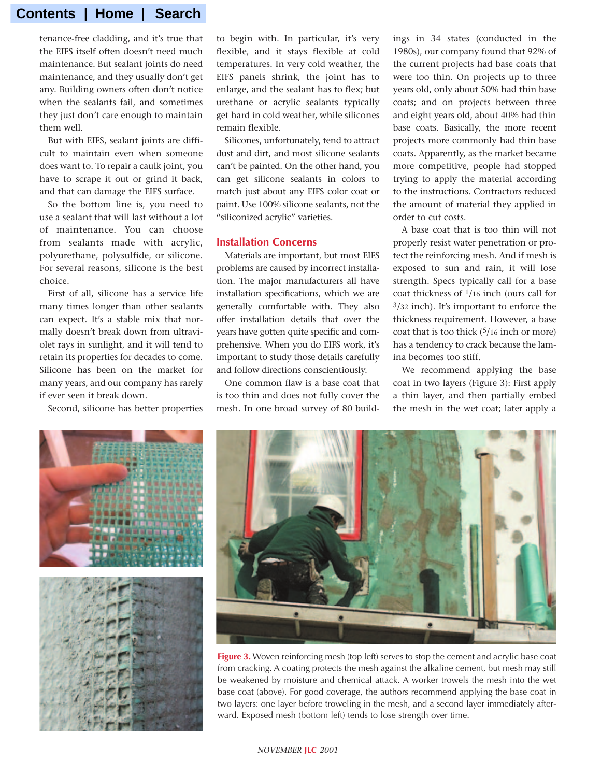tenance-free cladding, and it's true that the EIFS itself often doesn't need much maintenance. But sealant joints do need maintenance, and they usually don't get any. Building owners often don't notice when the sealants fail, and sometimes they just don't care enough to maintain them well.

But with EIFS, sealant joints are difficult to maintain even when someone does want to. To repair a caulk joint, you have to scrape it out or grind it back, and that can damage the EIFS surface.

So the bottom line is, you need to use a sealant that will last without a lot of maintenance. You can choose from sealants made with acrylic, polyurethane, polysulfide, or silicone. For several reasons, silicone is the best choice.

First of all, silicone has a service life many times longer than other sealants can expect. It's a stable mix that normally doesn't break down from ultraviolet rays in sunlight, and it will tend to retain its properties for decades to come. Silicone has been on the market for many years, and our company has rarely if ever seen it break down.

Second, silicone has better properties

to begin with. In particular, it's very flexible, and it stays flexible at cold temperatures. In very cold weather, the EIFS panels shrink, the joint has to enlarge, and the sealant has to flex; but urethane or acrylic sealants typically get hard in cold weather, while silicones remain flexible.

Silicones, unfortunately, tend to attract dust and dirt, and most silicone sealants can't be painted. On the other hand, you can get silicone sealants in colors to match just about any EIFS color coat or paint. Use 100% silicone sealants, not the "siliconized acrylic" varieties.

#### **Installation Concerns**

Materials are important, but most EIFS problems are caused by incorrect installation. The major manufacturers all have installation specifications, which we are generally comfortable with. They also offer installation details that over the years have gotten quite specific and comprehensive. When you do EIFS work, it's important to study those details carefully and follow directions conscientiously.

One common flaw is a base coat that is too thin and does not fully cover the mesh. In one broad survey of 80 buildings in 34 states (conducted in the 1980s), our company found that 92% of the current projects had base coats that were too thin. On projects up to three years old, only about 50% had thin base coats; and on projects between three and eight years old, about 40% had thin base coats. Basically, the more recent projects more commonly had thin base coats. Apparently, as the market became more competitive, people had stopped trying to apply the material according to the instructions. Contractors reduced the amount of material they applied in order to cut costs.

A base coat that is too thin will not properly resist water penetration or protect the reinforcing mesh. And if mesh is exposed to sun and rain, it will lose strength. Specs typically call for a base coat thickness of  $\frac{1}{16}$  inch (ours call for 3/32 inch). It's important to enforce the thickness requirement. However, a base coat that is too thick  $(5/16$  inch or more) has a tendency to crack because the lamina becomes too stiff.

We recommend applying the base coat in two layers (Figure 3): First apply a thin layer, and then partially embed the mesh in the wet coat; later apply a





**Figure 3.** Woven reinforcing mesh (top left) serves to stop the cement and acrylic base coat from cracking. A coating protects the mesh against the alkaline cement, but mesh may still be weakened by moisture and chemical attack. A worker trowels the mesh into the wet base coat (above). For good coverage, the authors recommend applying the base coat in two layers: one layer before troweling in the mesh, and a second layer immediately afterward. Exposed mesh (bottom left) tends to lose strength over time.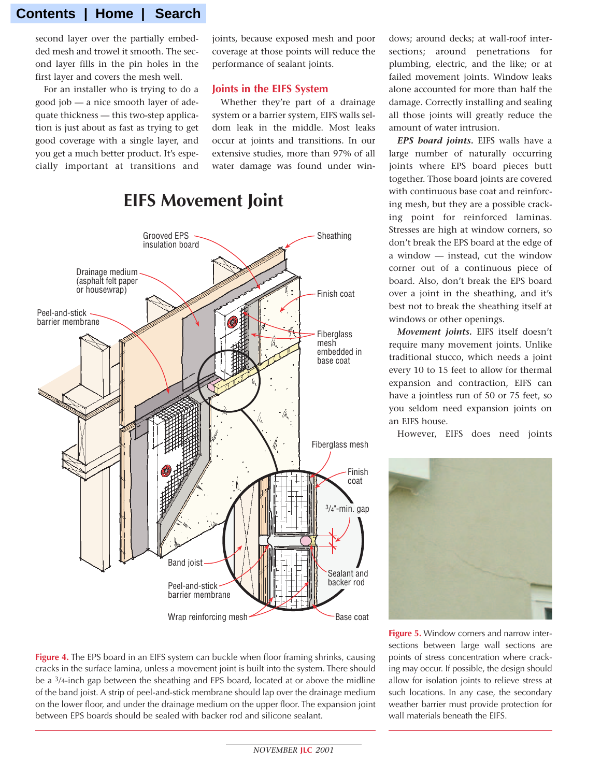second layer over the partially embedded mesh and trowel it smooth. The second layer fills in the pin holes in the first layer and covers the mesh well.

For an installer who is trying to do a good job — a nice smooth layer of adequate thickness — this two-step application is just about as fast as trying to get good coverage with a single layer, and you get a much better product. It's especially important at transitions and joints, because exposed mesh and poor coverage at those points will reduce the performance of sealant joints.

#### **Joints in the EIFS System**

Whether they're part of a drainage system or a barrier system, EIFS walls seldom leak in the middle. Most leaks occur at joints and transitions. In our extensive studies, more than 97% of all water damage was found under win-



**EIFS Movement Joint**

**Figure 4.** The EPS board in an EIFS system can buckle when floor framing shrinks, causing cracks in the surface lamina, unless a movement joint is built into the system. There should be a 3/4-inch gap between the sheathing and EPS board, located at or above the midline of the band joist. A strip of peel-and-stick membrane should lap over the drainage medium on the lower floor, and under the drainage medium on the upper floor. The expansion joint between EPS boards should be sealed with backer rod and silicone sealant.

dows; around decks; at wall-roof intersections; around penetrations for plumbing, electric, and the like; or at failed movement joints. Window leaks alone accounted for more than half the damage. Correctly installing and sealing all those joints will greatly reduce the amount of water intrusion.

*EPS board joints.* EIFS walls have a large number of naturally occurring joints where EPS board pieces butt together. Those board joints are covered with continuous base coat and reinforcing mesh, but they are a possible cracking point for reinforced laminas. Stresses are high at window corners, so don't break the EPS board at the edge of a window — instead, cut the window corner out of a continuous piece of board. Also, don't break the EPS board over a joint in the sheathing, and it's best not to break the sheathing itself at windows or other openings.

*Movement joints.* EIFS itself doesn't require many movement joints. Unlike traditional stucco, which needs a joint every 10 to 15 feet to allow for thermal expansion and contraction, EIFS can have a jointless run of 50 or 75 feet, so you seldom need expansion joints on an EIFS house.

However, EIFS does need joints



**Figure 5.** Window corners and narrow intersections between large wall sections are points of stress concentration where cracking may occur. If possible, the design should allow for isolation joints to relieve stress at such locations. In any case, the secondary weather barrier must provide protection for wall materials beneath the EIFS.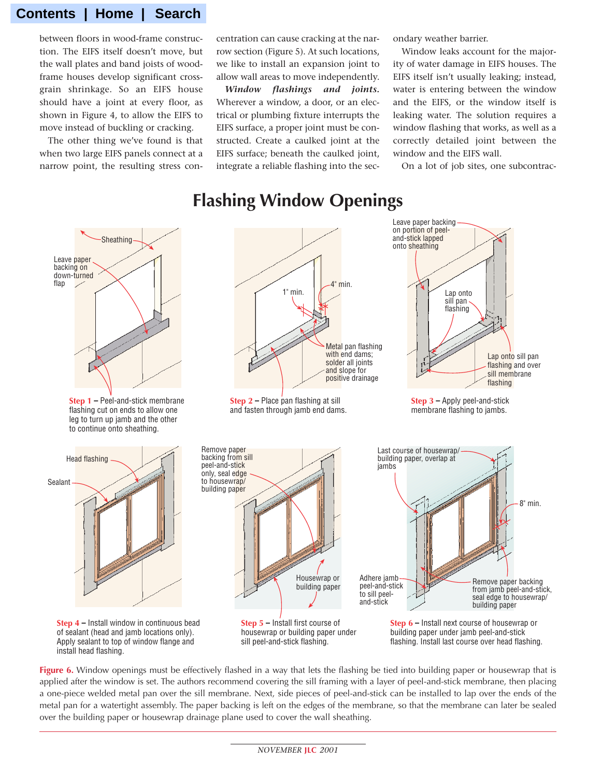between floors in wood-frame construction. The EIFS itself doesn't move, but the wall plates and band joists of woodframe houses develop significant crossgrain shrinkage. So an EIFS house should have a joint at every floor, as shown in Figure 4, to allow the EIFS to move instead of buckling or cracking.

The other thing we've found is that when two large EIFS panels connect at a narrow point, the resulting stress con-

install head flashing.

centration can cause cracking at the narrow section (Figure 5). At such locations, we like to install an expansion joint to allow wall areas to move independently.

*Window flashings and joints.* Wherever a window, a door, or an electrical or plumbing fixture interrupts the EIFS surface, a proper joint must be constructed. Create a caulked joint at the EIFS surface; beneath the caulked joint, integrate a reliable flashing into the secondary weather barrier.

Window leaks account for the majority of water damage in EIFS houses. The EIFS itself isn't usually leaking; instead, water is entering between the window and the EIFS, or the window itself is leaking water. The solution requires a window flashing that works, as well as a correctly detailed joint between the window and the EIFS wall.

On a lot of job sites, one subcontrac-

# **Flashing Window Openings**



**Figure 6.** Window openings must be effectively flashed in a way that lets the flashing be tied into building paper or housewrap that is applied after the window is set. The authors recommend covering the sill framing with a layer of peel-and-stick membrane, then placing a one-piece welded metal pan over the sill membrane. Next, side pieces of peel-and-stick can be installed to lap over the ends of the metal pan for a watertight assembly. The paper backing is left on the edges of the membrane, so that the membrane can later be sealed over the building paper or housewrap drainage plane used to cover the wall sheathing.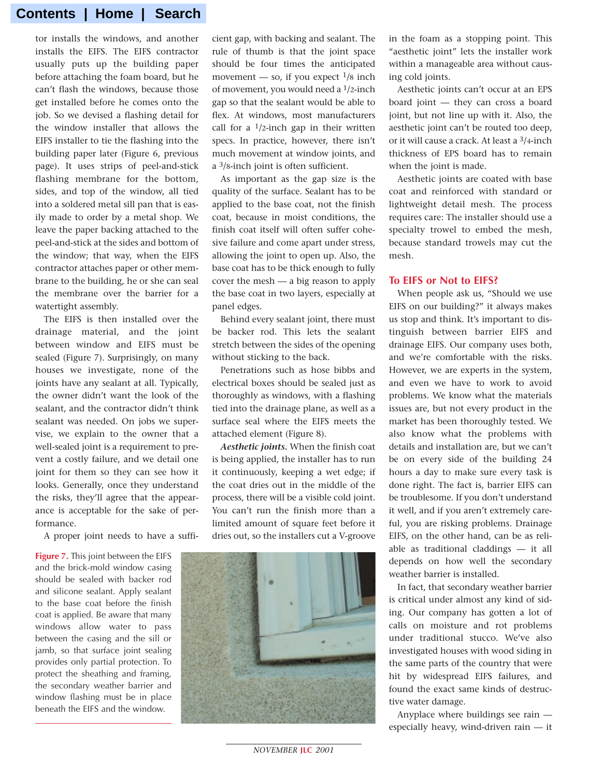tor installs the windows, and another installs the EIFS. The EIFS contractor usually puts up the building paper before attaching the foam board, but he can't flash the windows, because those get installed before he comes onto the job. So we devised a flashing detail for the window installer that allows the EIFS installer to tie the flashing into the building paper later (Figure 6, previous page). It uses strips of peel-and-stick flashing membrane for the bottom, sides, and top of the window, all tied into a soldered metal sill pan that is easily made to order by a metal shop. We leave the paper backing attached to the peel-and-stick at the sides and bottom of the window; that way, when the EIFS contractor attaches paper or other membrane to the building, he or she can seal the membrane over the barrier for a watertight assembly.

The EIFS is then installed over the drainage material, and the joint between window and EIFS must be sealed (Figure 7). Surprisingly, on many houses we investigate, none of the joints have any sealant at all. Typically, the owner didn't want the look of the sealant, and the contractor didn't think sealant was needed. On jobs we supervise, we explain to the owner that a well-sealed joint is a requirement to prevent a costly failure, and we detail one joint for them so they can see how it looks. Generally, once they understand the risks, they'll agree that the appearance is acceptable for the sake of performance.

A proper joint needs to have a suffi-

**Figure 7.** This joint between the EIFS and the brick-mold window casing should be sealed with backer rod and silicone sealant. Apply sealant to the base coat before the finish coat is applied. Be aware that many windows allow water to pass between the casing and the sill or jamb, so that surface joint sealing provides only partial protection. To protect the sheathing and framing, the secondary weather barrier and window flashing must be in place beneath the EIFS and the window.

cient gap, with backing and sealant. The rule of thumb is that the joint space should be four times the anticipated movement — so, if you expect  $\frac{1}{8}$  inch of movement, you would need a 1/2-inch gap so that the sealant would be able to flex. At windows, most manufacturers call for a  $1/2$ -inch gap in their written specs. In practice, however, there isn't much movement at window joints, and a 3/8-inch joint is often sufficient.

As important as the gap size is the quality of the surface. Sealant has to be applied to the base coat, not the finish coat, because in moist conditions, the finish coat itself will often suffer cohesive failure and come apart under stress, allowing the joint to open up. Also, the base coat has to be thick enough to fully cover the mesh — a big reason to apply the base coat in two layers, especially at panel edges.

Behind every sealant joint, there must be backer rod. This lets the sealant stretch between the sides of the opening without sticking to the back.

Penetrations such as hose bibbs and electrical boxes should be sealed just as thoroughly as windows, with a flashing tied into the drainage plane, as well as a surface seal where the EIFS meets the attached element (Figure 8).

*Aesthetic joints.* When the finish coat is being applied, the installer has to run it continuously, keeping a wet edge; if the coat dries out in the middle of the process, there will be a visible cold joint. You can't run the finish more than a limited amount of square feet before it dries out, so the installers cut a V-groove



in the foam as a stopping point. This "aesthetic joint" lets the installer work within a manageable area without causing cold joints.

Aesthetic joints can't occur at an EPS board joint — they can cross a board joint, but not line up with it. Also, the aesthetic joint can't be routed too deep, or it will cause a crack. At least a 3/4-inch thickness of EPS board has to remain when the joint is made.

Aesthetic joints are coated with base coat and reinforced with standard or lightweight detail mesh. The process requires care: The installer should use a specialty trowel to embed the mesh, because standard trowels may cut the mesh.

#### **To EIFS or Not to EIFS?**

When people ask us, "Should we use EIFS on our building?" it always makes us stop and think. It's important to distinguish between barrier EIFS and drainage EIFS. Our company uses both, and we're comfortable with the risks. However, we are experts in the system, and even we have to work to avoid problems. We know what the materials issues are, but not every product in the market has been thoroughly tested. We also know what the problems with details and installation are, but we can't be on every side of the building 24 hours a day to make sure every task is done right. The fact is, barrier EIFS can be troublesome. If you don't understand it well, and if you aren't extremely careful, you are risking problems. Drainage EIFS, on the other hand, can be as reliable as traditional claddings — it all depends on how well the secondary weather barrier is installed.

In fact, that secondary weather barrier is critical under almost any kind of siding. Our company has gotten a lot of calls on moisture and rot problems under traditional stucco. We've also investigated houses with wood siding in the same parts of the country that were hit by widespread EIFS failures, and found the exact same kinds of destructive water damage.

Anyplace where buildings see rain especially heavy, wind-driven rain — it